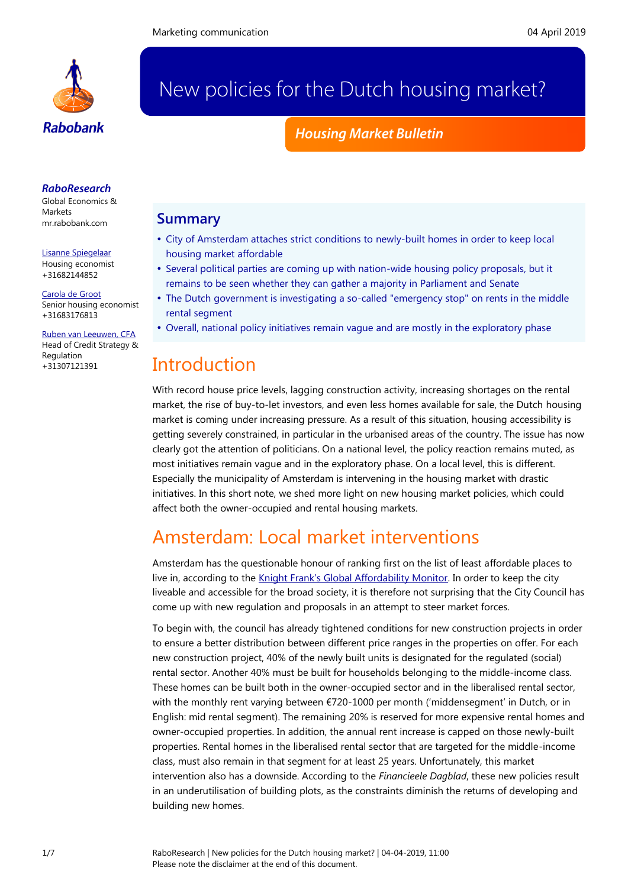

# New policies for the Dutch housing market?

## *Housing Market Bulletin*

### *RaboResearch*

Global Economics & **Markets** [mr.rabobank.com](http://mr.rabobank.com/)

[Lisanne Spiegelaar](mailto:lisanne.spiegelaar@rabobank.com) Housing economist +31682144852

[Carola de Groot](mailto:carola.de.groot@rabobank.nl) Senior housing economist +31683176813

[Ruben van Leeuwen, CFA](mailto:ruben.van.leeuwen@rabobank.com) Head of Credit Strategy & Regulation +31307121391

## **Summary**

- City of Amsterdam attaches strict conditions to newly-built homes in order to keep local housing market affordable
- Several political parties are coming up with nation-wide housing policy proposals, but it remains to be seen whether they can gather a majority in Parliament and Senate
- The Dutch government is investigating a so-called "emergency stop" on rents in the middle rental segment
- Overall, national policy initiatives remain vague and are mostly in the exploratory phase

## **Introduction**

With record house price levels, lagging construction activity, increasing shortages on the rental market, the rise of buy-to-let investors, and even less homes available for sale, the Dutch housing market is coming under increasing pressure. As a result of this situation, housing accessibility is getting severely constrained, in particular in the urbanised areas of the country. The issue has now clearly got the attention of politicians. On a national level, the policy reaction remains muted, as most initiatives remain vague and in the exploratory phase. On a local level, this is different. Especially the municipality of Amsterdam is intervening in the housing market with drastic initiatives. In this short note, we shed more light on new housing market policies, which could affect both the owner-occupied and rental housing markets.

## Amsterdam: Local market interventions

Amsterdam has the questionable honour of ranking first on the list of least affordable places to live in, according to the [Knight Frank's Global Affordability Monitor](https://www.knightfrank.com/blog/2019/01/28/the-knight-frank-global-affordability-monitor-2019). In order to keep the city liveable and accessible for the broad society, it is therefore not surprising that the City Council has come up with new regulation and proposals in an attempt to steer market forces.

To begin with, the council has already tightened conditions for new construction projects in order to ensure a better distribution between different price ranges in the properties on offer. For each new construction project, 40% of the newly built units is designated for the regulated (social) rental sector. Another 40% must be built for households belonging to the middle-income class. These homes can be built both in the owner-occupied sector and in the liberalised rental sector, with the monthly rent varying between €720-1000 per month ('middensegment' in Dutch, or in English: mid rental segment). The remaining 20% is reserved for more expensive rental homes and owner-occupied properties. In addition, the annual rent increase is capped on those newly-built properties. Rental homes in the liberalised rental sector that are targeted for the middle-income class, must also remain in that segment for at least 25 years. Unfortunately, this market intervention also has a downside. According to the *Financieele Dagblad*, these new policies result in an underutilisation of building plots, as the constraints diminish the returns of developing and building new homes.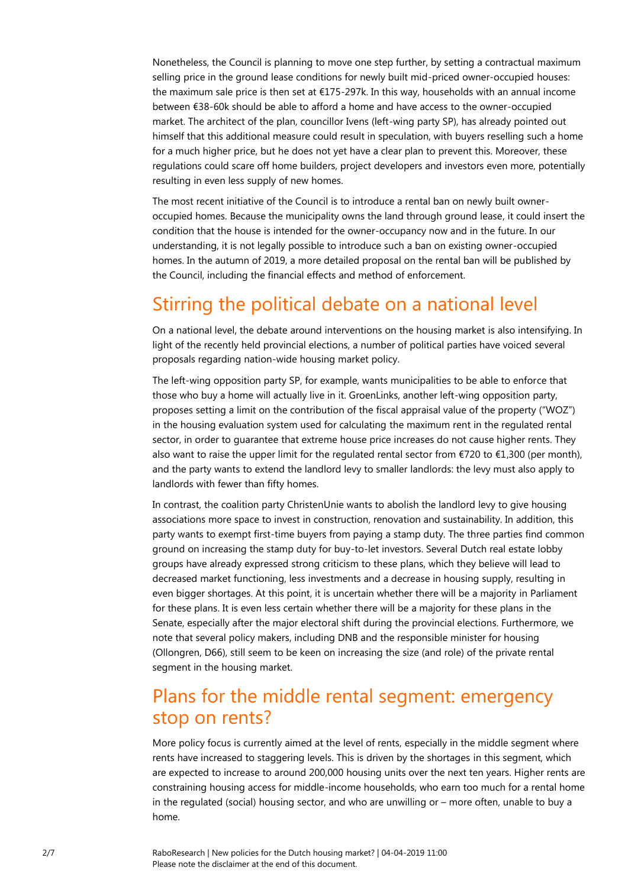Nonetheless, the Council is planning to move one step further, by setting a contractual maximum selling price in the ground lease conditions for newly built mid-priced owner-occupied houses: the maximum sale price is then set at €175-297k. In this way, households with an annual income between €38-60k should be able to afford a home and have access to the owner-occupied market. The architect of the plan, councillor Ivens (left-wing party SP), has already pointed out himself that this additional measure could result in speculation, with buyers reselling such a home for a much higher price, but he does not yet have a clear plan to prevent this. Moreover, these regulations could scare off home builders, project developers and investors even more, potentially resulting in even less supply of new homes.

The most recent initiative of the Council is to introduce a rental ban on newly built owneroccupied homes. Because the municipality owns the land through ground lease, it could insert the condition that the house is intended for the owner-occupancy now and in the future. In our understanding, it is not legally possible to introduce such a ban on existing owner-occupied homes. In the autumn of 2019, a more detailed proposal on the rental ban will be published by the Council, including the financial effects and method of enforcement.

## Stirring the political debate on a national level

On a national level, the debate around interventions on the housing market is also intensifying. In light of the recently held provincial elections, a number of political parties have voiced several proposals regarding nation-wide housing market policy.

The left-wing opposition party SP, for example, wants municipalities to be able to enforce that those who buy a home will actually live in it. GroenLinks, another left-wing opposition party, proposes setting a limit on the contribution of the fiscal appraisal value of the property ("WOZ") in the housing evaluation system used for calculating the maximum rent in the regulated rental sector, in order to guarantee that extreme house price increases do not cause higher rents. They also want to raise the upper limit for the regulated rental sector from  $\epsilon$ 720 to  $\epsilon$ 1,300 (per month), and the party wants to extend the landlord levy to smaller landlords: the levy must also apply to landlords with fewer than fifty homes.

In contrast, the coalition party ChristenUnie wants to abolish the landlord levy to give housing associations more space to invest in construction, renovation and sustainability. In addition, this party wants to exempt first-time buyers from paying a stamp duty. The three parties find common ground on increasing the stamp duty for buy-to-let investors. Several Dutch real estate lobby groups have already expressed strong criticism to these plans, which they believe will lead to decreased market functioning, less investments and a decrease in housing supply, resulting in even bigger shortages. At this point, it is uncertain whether there will be a majority in Parliament for these plans. It is even less certain whether there will be a majority for these plans in the Senate, especially after the major electoral shift during the provincial elections. Furthermore, we note that several policy makers, including DNB and the responsible minister for housing (Ollongren, D66), still seem to be keen on increasing the size (and role) of the private rental segment in the housing market.

## Plans for the middle rental segment: emergency stop on rents?

More policy focus is currently aimed at the level of rents, especially in the middle segment where rents have increased to staggering levels. This is driven by the shortages in this segment, which are expected to increase to around 200,000 housing units over the next ten years. Higher rents are constraining housing access for middle-income households, who earn too much for a rental home in the regulated (social) housing sector, and who are unwilling or – more often, unable to buy a home.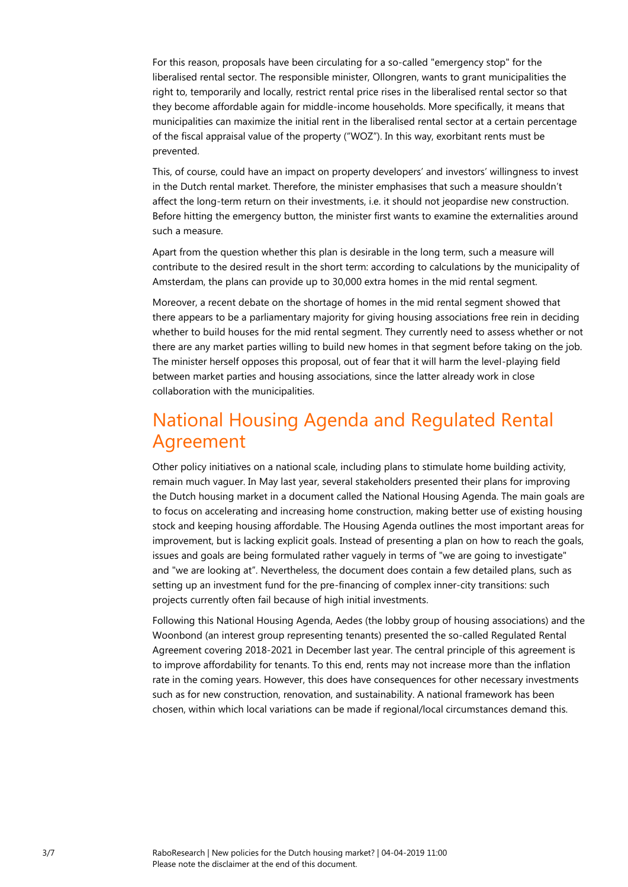For this reason, proposals have been circulating for a so-called "emergency stop" for the liberalised rental sector. The responsible minister, Ollongren, wants to grant municipalities the right to, temporarily and locally, restrict rental price rises in the liberalised rental sector so that they become affordable again for middle-income households. More specifically, it means that municipalities can maximize the initial rent in the liberalised rental sector at a certain percentage of the fiscal appraisal value of the property ("WOZ"). In this way, exorbitant rents must be prevented.

This, of course, could have an impact on property developers' and investors' willingness to invest in the Dutch rental market. Therefore, the minister emphasises that such a measure shouldn't affect the long-term return on their investments, i.e. it should not jeopardise new construction. Before hitting the emergency button, the minister first wants to examine the externalities around such a measure.

Apart from the question whether this plan is desirable in the long term, such a measure will contribute to the desired result in the short term: according to calculations by the municipality of Amsterdam, the plans can provide up to 30,000 extra homes in the mid rental segment.

Moreover, a recent debate on the shortage of homes in the mid rental segment showed that there appears to be a parliamentary majority for giving housing associations free rein in deciding whether to build houses for the mid rental segment. They currently need to assess whether or not there are any market parties willing to build new homes in that segment before taking on the job. The minister herself opposes this proposal, out of fear that it will harm the level-playing field between market parties and housing associations, since the latter already work in close collaboration with the municipalities.

## National Housing Agenda and Regulated Rental Agreement

Other policy initiatives on a national scale, including plans to stimulate home building activity, remain much vaguer. In May last year, several stakeholders presented their plans for improving the Dutch housing market in a document called the National Housing Agenda. The main goals are to focus on accelerating and increasing home construction, making better use of existing housing stock and keeping housing affordable. The Housing Agenda outlines the most important areas for improvement, but is lacking explicit goals. Instead of presenting a plan on how to reach the goals, issues and goals are being formulated rather vaguely in terms of "we are going to investigate" and "we are looking at". Nevertheless, the document does contain a few detailed plans, such as setting up an investment fund for the pre-financing of complex inner-city transitions: such projects currently often fail because of high initial investments.

Following this National Housing Agenda, Aedes (the lobby group of housing associations) and the Woonbond (an interest group representing tenants) presented the so-called Regulated Rental Agreement covering 2018-2021 in December last year. The central principle of this agreement is to improve affordability for tenants. To this end, rents may not increase more than the inflation rate in the coming years. However, this does have consequences for other necessary investments such as for new construction, renovation, and sustainability. A national framework has been chosen, within which local variations can be made if regional/local circumstances demand this.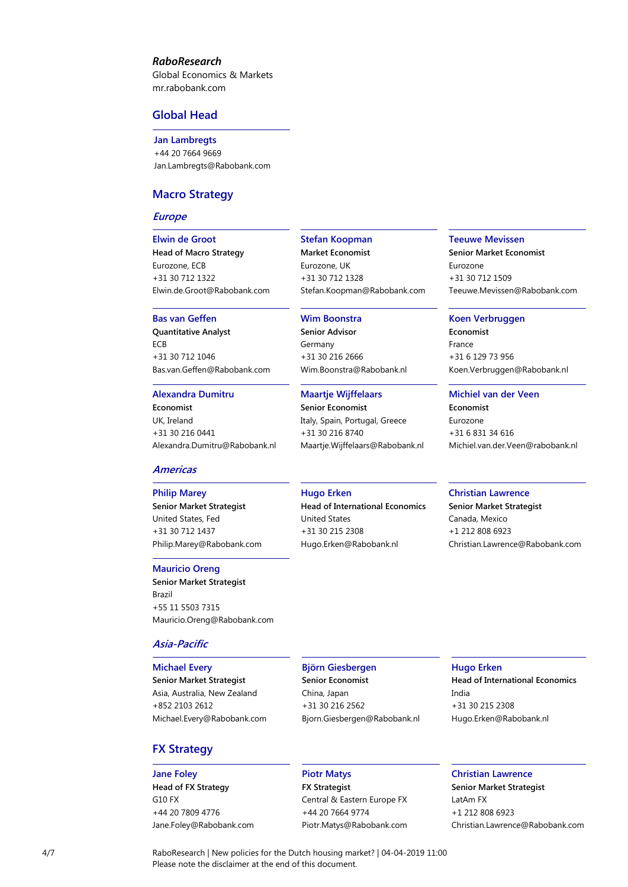### *RaboResearch*

Global Economics & Markets [mr.rabobank.com](http://mr.rabobank.com/)

### **Global Head**

**Jan Lambregts** +44 20 7664 9669 [Jan.Lambregts@Rabobank.com](mailto:Jan.Lambregts@Rabobank.com)

### **Macro Strategy**

#### **Europe**

**Elwin de Groot Head of Macro Strategy** Eurozone, ECB +31 30 712 1322 [Elwin.de.Groot@Rabobank.com](mailto:Elwin.de.Groot@Rabobank.com)

#### **Bas van Geffen**

**Quantitative Analyst** ECB +31 30 712 1046 [Bas.van.Geffen@Rabobank.com](mailto:Bas.van.Geffen@Rabobank.com)

#### **Alexandra Dumitru**

**Economist** UK, Ireland +31 30 216 0441 [Alexandra.Dumitru@Rabobank.nl](mailto:Alexandra.Dumitru@Rabobank.nl)

#### **Americas**

#### **Philip Marey**

**Senior Market Strategist** United States, Fed +31 30 712 1437 [Philip.Marey@Rabobank.com](mailto:Philip.Marey@Rabobank.com)

#### **Mauricio Oreng**

**Senior Market Strategist** Brazil +55 11 5503 7315 [Mauricio.Oreng@Rabobank.com](mailto:Mauricio.Oreng@Rabobank.com)

#### **Asia-Pacific**

#### **Michael Every**

**Senior Market Strategist** Asia, Australia, New Zealand +852 2103 2612 [Michael.Every@Rabobank.com](mailto:Michael.Every@Rabobank.com)

### **FX Strategy**

## **Jane Foley**

**Head of FX Strategy** G10 FX +44 20 7809 4776 [Jane.Foley@Rabobank.com](mailto:Jane.Foley@Rabobank.com)

#### **Stefan Koopman**

**Market Economist** Eurozone, UK +31 30 712 1328 [Stefan.Koopman@Rabobank.com](mailto:Stefan.Koopman@Rabobank.com)

### **Wim Boonstra**

**Senior Advisor** Germany +31 30 216 2666 [Wim.Boonstra@Rabobank.nl](mailto:Wim.Boonstra@Rabobank.nl)

#### **Maartje Wijffelaars**

**Senior Economist** Italy, Spain, Portugal, Greece +31 30 216 8740 [Maartje.Wijffelaars@Rabobank.nl](mailto:Maartje.Wijffelaars@Rabobank.nl)

#### **Teeuwe Mevissen**

**Senior Market Economist** Eurozone +31 30 712 1509 [Teeuwe.Mevissen@Rabobank.com](mailto:Teeuwe.Mevissen@Rabobank.com)

#### **Koen Verbruggen**

**Economist** France +31 6 129 73 956 Koen.Verbruggen@Rabobank.nl

#### **Michiel van der Veen**

**Economist** Eurozone +31 6 831 34 616 Michiel.van.der.Veen@rabobank.nl

#### **Christian Lawrence**

**Senior Market Strategist** Canada, Mexico +1 212 808 6923 [Christian.Lawrence@Rabobank.com](mailto:Christian.Lawrence@Rabobank.com)

### **Hugo Erken**

**Head of International Economics** United States +31 30 215 2308 [Hugo.Erken@Rabobank.nl](mailto:Hugo.Erken@Rabobank.nl)

#### **Björn Giesbergen Senior Economist** China, Japan +31 30 216 2562 [Bjorn.Giesbergen@Rabobank.nl](mailto:Bjorn.Giesbergen@Rabobank.nl)

**Hugo Erken Head of International Economics** India +31 30 215 2308 [Hugo.Erken@Rabobank.nl](mailto:Hugo.Erken@Rabobank.nl)

#### **Piotr Matys**

**FX Strategist** Central & Eastern Europe FX +44 20 7664 9774 [Piotr.Matys@Rabobank.com](mailto:Piotr.Matys@Rabobank.com)

## **Christian Lawrence**

**Senior Market Strategist** LatAm FX +1 212 808 6923 [Christian.Lawrence@Rabobank.com](mailto:Christian.Lawrence@Rabobank.com)

4/7 RaboResearch | New policies for the Dutch housing market? | 04-04-2019 11:00 Please note the disclaimer at the end of this document.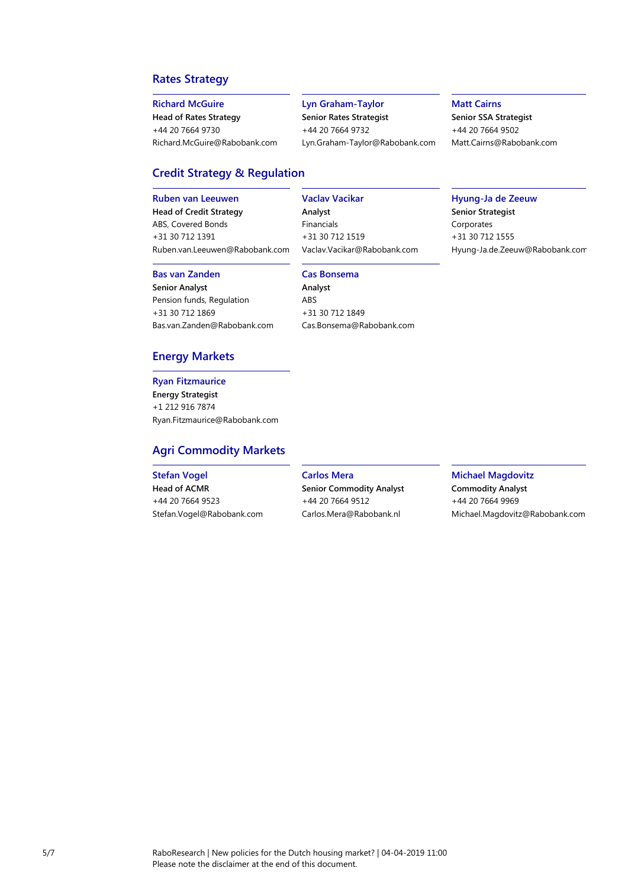## **Rates Strategy**

#### **Richard McGuire**

**Head of Rates Strategy** +44 20 7664 9730 [Richard.McGuire@Rabobank.com](mailto:Richard.McGuire@Rabobank.com)

#### **Lyn Graham-Taylor**

**Senior Rates Strategist** +44 20 7664 9732 [Lyn.Graham-Taylor@Rabobank.com](mailto:Lyn.Graham-Taylor@Rabobank.com)

#### **Matt Cairns**

**Senior SSA Strategist** +44 20 7664 9502 [Matt.Cairns@Rabobank.com](mailto:Matt.Cairns@Rabobank.com)

## **Credit Strategy & Regulation**

#### **Ruben van Leeuwen**

**Head of Credit Strategy** ABS, Covered Bonds +31 30 712 1391 [Ruben.van.Leeuwen@Rabobank.com](mailto:Ruben.van.Leeuwen@Rabobank.com)

#### **Bas van Zanden**

**Senior Analyst** Pension funds, Regulation +31 30 712 1869 [Bas.van.Zanden@Rabobank.com](mailto:Bas.van.Zanden@Rabobank.com)

## [Vaclav.Vacikar@Rabobank.com](mailto:Vaclav.Vacikar@Rabobank.com) **Cas Bonsema**

**Vaclav Vacikar**

**Analyst** Financials +31 30 712 1519

**Analyst** ABS +31 30 712 1849 [Cas.Bonsema@Rabobank.com](mailto:Cas.Bonsema@Rabobank.com)

## **Hyung-Ja de Zeeuw**

**Senior Strategist** Corporates +31 30 712 1555 [Hyung-Ja.de.Zeeuw@Rabobank.com](mailto:Hyung-Ja.de.Zeeuw@Rabobank.com)

### **Energy Markets**

## **Ryan Fitzmaurice**

**Energy Strategist** +1 212 916 7874 [Ryan.Fitzmaurice@Rabobank.com](mailto:Ryan.Fitzmaurice@Rabobank.com)

## **Agri Commodity Markets**

#### **Stefan Vogel**

**Head of ACMR**  +44 20 7664 9523 [Stefan.Vogel@Rabobank.com](mailto:Stefan.Vogel@Rabobank.com) **Carlos Mera**

**Senior Commodity Analyst** +44 20 7664 9512 [Carlos.Mera@Rabobank.nl](mailto:Carlos.Mera@Rabobank.nl)

**Michael Magdovitz Commodity Analyst** +44 20 7664 9969 [Michael.Magdovitz@Rabobank.com](mailto:Michael.Magdovitz@Rabobank.com)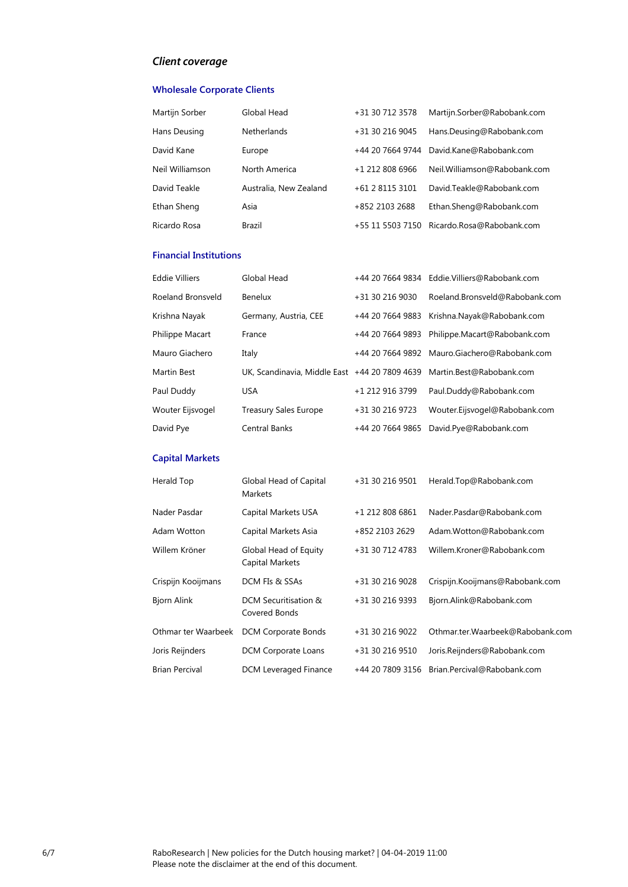## *Client coverage*

### **Wholesale Corporate Clients**

| Martijn Sorber  | Global Head            | +31 30 712 3578  | Martijn.Sorber@Rabobank.com  |
|-----------------|------------------------|------------------|------------------------------|
| Hans Deusing    | <b>Netherlands</b>     | +31 30 216 9045  | Hans.Deusing@Rabobank.com    |
| David Kane      | Europe                 | +44 20 7664 9744 | David.Kane@Rabobank.com      |
| Neil Williamson | North America          | +1 212 808 6966  | Neil.Williamson@Rabobank.com |
| David Teakle    | Australia, New Zealand | +61 2 8115 3101  | David.Teakle@Rabobank.com    |
| Ethan Sheng     | Asia                   | +852 2103 2688   | Ethan.Sheng@Rabobank.com     |
| Ricardo Rosa    | Brazil                 | +55 11 5503 7150 | Ricardo.Rosa@Rabobank.com    |

#### **Financial Institutions**

| <b>Eddie Villiers</b> | Global Head                                                            |                  | +44 20 7664 9834   Eddie.Villiers@Rabobank.com |
|-----------------------|------------------------------------------------------------------------|------------------|------------------------------------------------|
| Roeland Bronsveld     | Benelux                                                                | +31 30 216 9030  | Roeland.Bronsveld@Rabobank.com                 |
| Krishna Nayak         | Germany, Austria, CEE                                                  |                  | +44 20 7664 9883 Krishna.Nayak@Rabobank.com    |
| Philippe Macart       | France                                                                 |                  | +44 20 7664 9893 Philippe.Macart@Rabobank.com  |
| Mauro Giachero        | Italy                                                                  |                  | +44 20 7664 9892 Mauro.Giachero@Rabobank.com   |
| Martin Best           | UK, Scandinavia, Middle East +44 20 7809 4639 Martin.Best@Rabobank.com |                  |                                                |
| Paul Duddy            | <b>USA</b>                                                             | +1 212 916 3799  | Paul.Duddy@Rabobank.com                        |
| Wouter Eijsvogel      | <b>Treasury Sales Europe</b>                                           | +31 30 216 9723  | Wouter.Eijsvogel@Rabobank.com                  |
| David Pye             | <b>Central Banks</b>                                                   | +44 20 7664 9865 | David.Pye@Rabobank.com                         |

## **Capital Markets**

| Herald Top            | Global Head of Capital<br>Markets        | +31 30 216 9501  | Herald.Top@Rabobank.com          |
|-----------------------|------------------------------------------|------------------|----------------------------------|
| Nader Pasdar          | Capital Markets USA                      | +1 212 808 6861  | Nader.Pasdar@Rabobank.com        |
| Adam Wotton           | Capital Markets Asia                     | +852 2103 2629   | Adam.Wotton@Rabobank.com         |
| Willem Kröner         | Global Head of Equity<br>Capital Markets | +31 30 712 4783  | Willem.Kroner@Rabobank.com       |
| Crispijn Kooijmans    | DCM FIs & SSAs                           | +31 30 216 9028  | Crispijn.Kooijmans@Rabobank.com  |
| Bjorn Alink           | DCM Securitisation &<br>Covered Bonds    | +31 30 216 9393  | Bjorn.Alink@Rabobank.com         |
| Othmar ter Waarbeek   | DCM Corporate Bonds                      | +31 30 216 9022  | Othmar.ter.Waarbeek@Rabobank.com |
| Joris Reijnders       | DCM Corporate Loans                      | +31 30 216 9510  | Joris.Reijnders@Rabobank.com     |
| <b>Brian Percival</b> | DCM Leveraged Finance                    | +44 20 7809 3156 | Brian.Percival@Rabobank.com      |